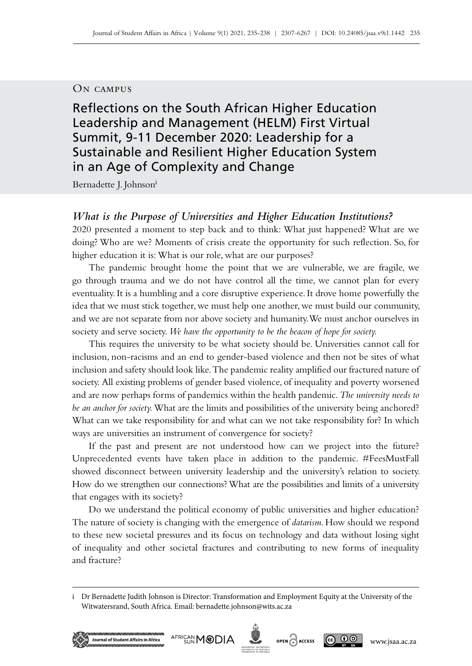## On campus

Reflections on the South African Higher Education Leadership and Management (HELM) First Virtual Summit, 9‑11 December 2020: Leadership for a Sustainable and Resilient Higher Education System in an Age of Complexity and Change

Bernadette J. Johnsoni

# *What is the Purpose of Universities and Higher Education Institutions?*

2020 presented a moment to step back and to think: What just happened? What are we doing? Who are we? Moments of crisis create the opportunity for such reflection. So, for higher education it is: What is our role, what are our purposes?

The pandemic brought home the point that we are vulnerable, we are fragile, we go through trauma and we do not have control all the time, we cannot plan for every eventuality. It is a humbling and a core disruptive experience. It drove home powerfully the idea that we must stick together, we must help one another, we must build our community, and we are not separate from nor above society and humanity. We must anchor ourselves in society and serve society. *We have the opportunity to be the beacon of hope for society.* 

This requires the university to be what society should be. Universities cannot call for inclusion, non-racisms and an end to gender-based violence and then not be sites of what inclusion and safety should look like. The pandemic reality amplified our fractured nature of society. All existing problems of gender based violence, of inequality and poverty worsened and are now perhaps forms of pandemics within the health pandemic. *The university needs to be an anchor for society.* What are the limits and possibilities of the university being anchored? What can we take responsibility for and what can we not take responsibility for? In which ways are universities an instrument of convergence for society?

If the past and present are not understood how can we project into the future? Unprecedented events have taken place in addition to the pandemic. #FeesMustFall showed disconnect between university leadership and the university's relation to society. How do we strengthen our connections? What are the possibilities and limits of a university that engages with its society?

Do we understand the political economy of public universities and higher education? The nature of society is changing with the emergence of *datarism*. How should we respond to these new societal pressures and its focus on technology and data without losing sight of inequality and other societal fractures and contributing to new forms of inequality and fracture?

i Dr Bernadette Judith Johnson is Director: Transformation and Employment Equity at the University of the Witwatersrand, South Africa. Email: [bernadette.johnson@wits.ac.za](mailto:bernadette.johnson%40wits.ac.za?subject=)





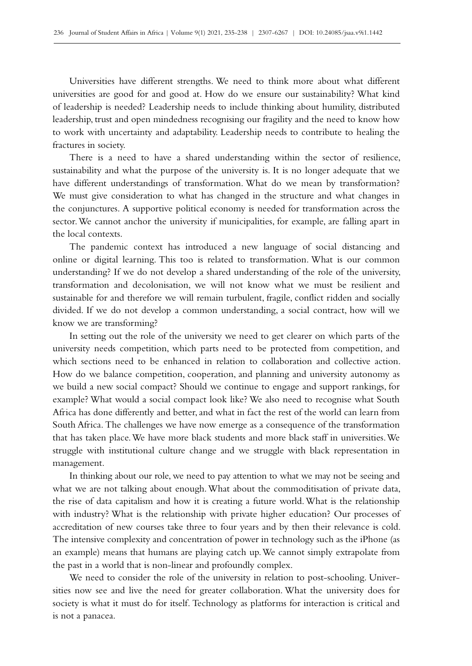Universities have different strengths. We need to think more about what different universities are good for and good at. How do we ensure our sustainability? What kind of leadership is needed? Leadership needs to include thinking about humility, distributed leadership, trust and open mindedness recognising our fragility and the need to know how to work with uncertainty and adaptability. Leadership needs to contribute to healing the fractures in society.

There is a need to have a shared understanding within the sector of resilience, sustainability and what the purpose of the university is. It is no longer adequate that we have different understandings of transformation. What do we mean by transformation? We must give consideration to what has changed in the structure and what changes in the conjunctures. A supportive political economy is needed for transformation across the sector. We cannot anchor the university if municipalities, for example, are falling apart in the local contexts.

The pandemic context has introduced a new language of social distancing and online or digital learning. This too is related to transformation. What is our common understanding? If we do not develop a shared understanding of the role of the university, transformation and decolonisation, we will not know what we must be resilient and sustainable for and therefore we will remain turbulent, fragile, conflict ridden and socially divided. If we do not develop a common understanding, a social contract, how will we know we are transforming?

In setting out the role of the university we need to get clearer on which parts of the university needs competition, which parts need to be protected from competition, and which sections need to be enhanced in relation to collaboration and collective action. How do we balance competition, cooperation, and planning and university autonomy as we build a new social compact? Should we continue to engage and support rankings, for example? What would a social compact look like? We also need to recognise what South Africa has done differently and better, and what in fact the rest of the world can learn from South Africa. The challenges we have now emerge as a consequence of the transformation that has taken place. We have more black students and more black staff in universities. We struggle with institutional culture change and we struggle with black representation in management.

In thinking about our role, we need to pay attention to what we may not be seeing and what we are not talking about enough. What about the commoditisation of private data, the rise of data capitalism and how it is creating a future world. What is the relationship with industry? What is the relationship with private higher education? Our processes of accreditation of new courses take three to four years and by then their relevance is cold. The intensive complexity and concentration of power in technology such as the iPhone (as an example) means that humans are playing catch up. We cannot simply extrapolate from the past in a world that is non-linear and profoundly complex.

We need to consider the role of the university in relation to post-schooling. Universities now see and live the need for greater collaboration. What the university does for society is what it must do for itself. Technology as platforms for interaction is critical and is not a panacea.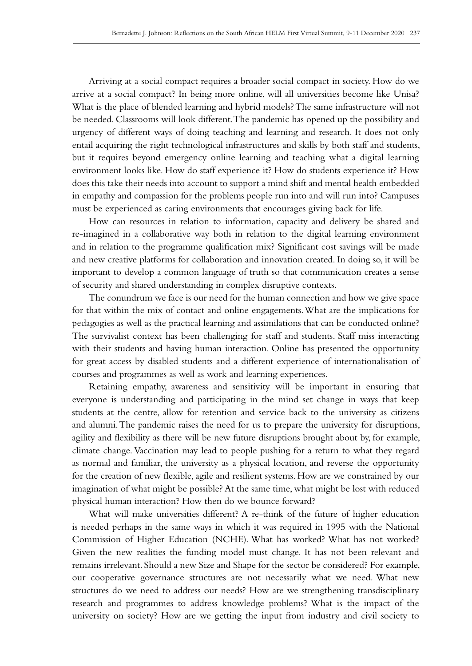Arriving at a social compact requires a broader social compact in society. How do we arrive at a social compact? In being more online, will all universities become like Unisa? What is the place of blended learning and hybrid models? The same infrastructure will not be needed. Classrooms will look different. The pandemic has opened up the possibility and urgency of different ways of doing teaching and learning and research. It does not only entail acquiring the right technological infrastructures and skills by both staff and students, but it requires beyond emergency online learning and teaching what a digital learning environment looks like. How do staff experience it? How do students experience it? How does this take their needs into account to support a mind shift and mental health embedded in empathy and compassion for the problems people run into and will run into? Campuses must be experienced as caring environments that encourages giving back for life.

How can resources in relation to information, capacity and delivery be shared and re‑imagined in a collaborative way both in relation to the digital learning environment and in relation to the programme qualification mix? Significant cost savings will be made and new creative platforms for collaboration and innovation created. In doing so, it will be important to develop a common language of truth so that communication creates a sense of security and shared understanding in complex disruptive contexts.

The conundrum we face is our need for the human connection and how we give space for that within the mix of contact and online engagements. What are the implications for pedagogies as well as the practical learning and assimilations that can be conducted online? The survivalist context has been challenging for staff and students. Staff miss interacting with their students and having human interaction. Online has presented the opportunity for great access by disabled students and a different experience of internationalisation of courses and programmes as well as work and learning experiences.

Retaining empathy, awareness and sensitivity will be important in ensuring that everyone is understanding and participating in the mind set change in ways that keep students at the centre, allow for retention and service back to the university as citizens and alumni. The pandemic raises the need for us to prepare the university for disruptions, agility and flexibility as there will be new future disruptions brought about by, for example, climate change. Vaccination may lead to people pushing for a return to what they regard as normal and familiar, the university as a physical location, and reverse the opportunity for the creation of new flexible, agile and resilient systems. How are we constrained by our imagination of what might be possible? At the same time, what might be lost with reduced physical human interaction? How then do we bounce forward?

What will make universities different? A re-think of the future of higher education is needed perhaps in the same ways in which it was required in 1995 with the National Commission of Higher Education (NCHE). What has worked? What has not worked? Given the new realities the funding model must change. It has not been relevant and remains irrelevant. Should a new Size and Shape for the sector be considered? For example, our cooperative governance structures are not necessarily what we need. What new structures do we need to address our needs? How are we strengthening transdisciplinary research and programmes to address knowledge problems? What is the impact of the university on society? How are we getting the input from industry and civil society to